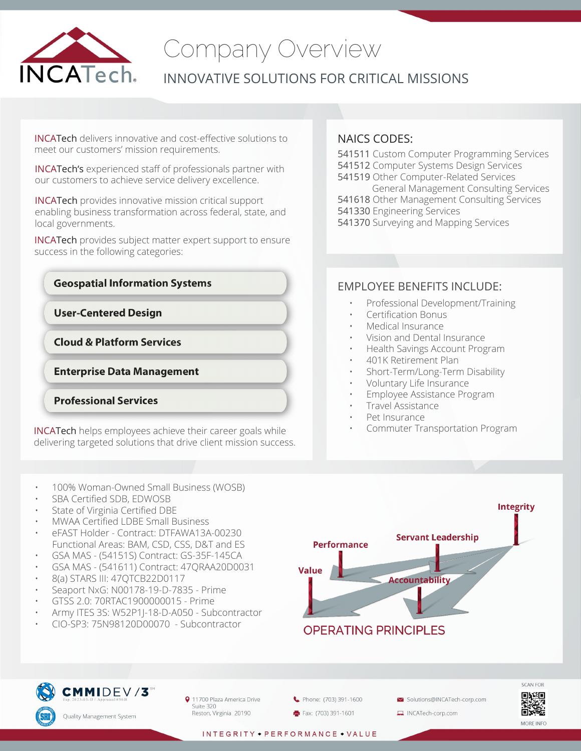

## Company Overview

### INNOVATIVE SOLUTIONS FOR CRITICAL MISSIONS

INCATech delivers innovative and cost-effective solutions to meet our customers' mission requirements.

INCATech's experienced staff of professionals partner with our customers to achieve service delivery excellence.

INCATech provides innovative mission critical support enabling business transformation across federal, state, and local governments.

INCATech provides subject matter expert support to ensure success in the following categories:

#### **Geospatial Information Systems**

**User-Centered Design** 

**Cloud & Platform Services** 

**Enterprise Data Management** 

#### **Professional Services**

INCATech helps employees achieve their career goals while delivering targeted solutions that drive client mission success.

- 100% Woman-Owned Small Business (WOSB)
- SBA Certified SDB, EDWOSB
- State of Virginia Certified DBE
- MWAA Certified LDBE Small Business
- eFAST Holder Contract: DTFAWA13A-00230 Functional Areas: BAM, CSD, CSS, D&T and ES
- GSA MAS (54151S) Contract: GS-35F-145CA
- GSA MAS (541611) Contract: 47QRAA20D0031
- 8(a) STARS III: 47QTCB22D0117
- Seaport NxG: N00178-19-D-7835 Prime
- GTSS 2.0: 70RTAC1900000015 Prime
- Army ITES 3S: W52P1J-18-D-A050 Subcontractor
- CIO-SP3: 75N98120D00070 Subcontractor

#### NAICS CODES:

541511 Custom Computer Programming Services 541512 Computer Systems Design Services

541519 Other Computer-Related Services

 General Management Consulting Services 541618 Other Management Consulting Services 541330 Engineering Services

541370 Surveying and Mapping Services

#### EMPLOYEE BENEFITS INCLUDE:

- Professional Development/Training
- Certification Bonus
- Medical Insurance
- Vision and Dental Insurance
- Health Savings Account Program
- 401K Retirement Plan
- Short-Term/Long-Term Disability
- Voluntary Life Insurance
- Employee Assistance Program
- Travel Assistance
- Pet Insurance
- Commuter Transportation Program





- 9 11700 Plaza America Drive Suite 320 Reston, Virginia 20190
- Phone: (703) 391-1600 Fax: (703) 391-1601
- Solutions@INCATech-corp.com

INCATech-corp.com